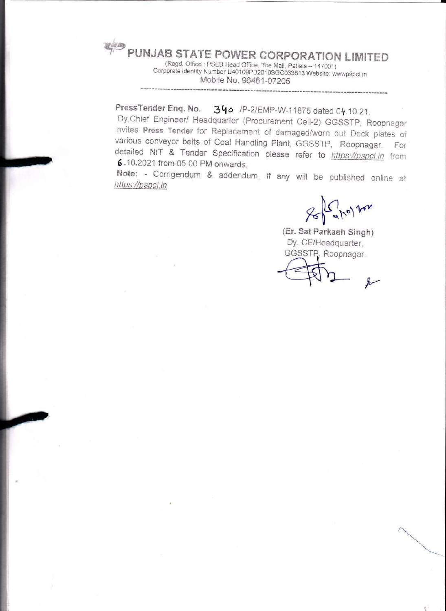PUNJAB STATE POWER CORPORATION LIMITED

(Regd. Office: PSEB Head Office, The Mall, Patiala - 147001) Corporate identity Number U40109PB2010SGC033813 Website: wwwpspcl.in Mobile No. 96461-07205

PressTender Eng. No. 340 /P-2/EMP-W-11875 dated 04.10.21.

Dy.Chief Engineer/ Headquarter (Procurement Cell-2) GGSSTP, Roopnagar invites Press Tender for Replacement of damaged/worn out Deck plates of various conveyor belts of Coal Handling Plant, GGSSTP, Roopnagar. For detailed NIT & Tender Specification please refer to https://pspcl.in from 6.10.2021 from 05.00 PM onwards.

Note: - Corrigendum & addendum, if any will be published online at https://pspcl.in

Le 10) von

(Er. Sat Parkash Singh) Dy. CE/Headquarter, GGSSTP, Roopnagar.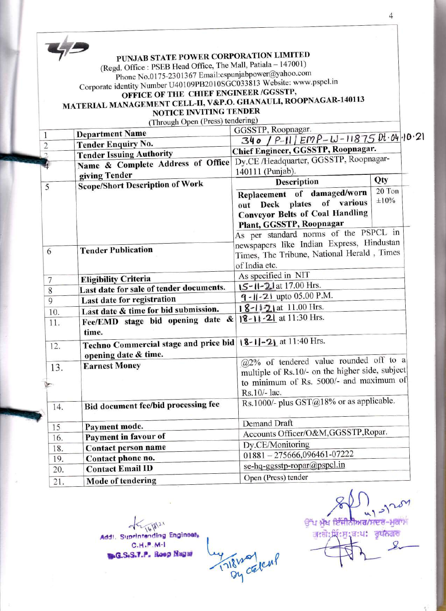|                | PUNJAB STATE POWER CORPORATION LIMITED                                |                                                              |            |
|----------------|-----------------------------------------------------------------------|--------------------------------------------------------------|------------|
|                | (Regd. Office: PSEB Head Office, The Mall, Patiala - 147001)          |                                                              |            |
|                | Phone No.0175-2301367 Email:cspunjabpower@yahoo.com                   |                                                              |            |
|                | Corporate identity Number U40109PB2010SGC033813 Website: www.pspcl.in |                                                              |            |
|                | OFFICE OF THE CHIEF ENGINEER /GGSSTP,                                 |                                                              |            |
|                | MATERIAL MANAGEMENT CELL-II, V&P.O. GHANAULI, ROOPNAGAR-140113        |                                                              |            |
|                | NOTICE INVITING TENDER                                                |                                                              |            |
|                | (Through Open (Press) tendering)                                      |                                                              |            |
| 1              | <b>Department Name</b>                                                | GGSSTP, Roopnagar.                                           |            |
| $\overline{2}$ | <b>Tender Enquiry No.</b>                                             | $340 / P-11 / EMP - W-11875$ Pt. 04-10.21                    |            |
|                | <b>Tender Issuing Authority</b>                                       | Chief Engineer, GGSSTP, Roopnagar.                           |            |
|                | Name & Complete Address of Office                                     | Dy.CE /Headquarter, GGSSTP, Roopnagar-                       |            |
|                | giving Tender                                                         | 140111 (Punjab).                                             |            |
| 5              | <b>Scope/Short Description of Work</b>                                | Description                                                  | Qty        |
|                |                                                                       | Replacement of damaged/worn                                  | 20 Ton     |
|                |                                                                       | out Deck plates of various                                   | $\pm 10\%$ |
|                |                                                                       | <b>Conveyor Belts of Coal Handling</b>                       |            |
|                |                                                                       | Plant, GGSSTP, Roopnagar                                     |            |
|                |                                                                       | As per standard norms of the PSPCL in                        |            |
|                |                                                                       | newspapers like Indian Express, Hindustan                    |            |
| 6              | <b>Tender Publication</b>                                             | Times, The Tribune, National Herald, Times                   |            |
|                |                                                                       | of India etc.                                                |            |
|                |                                                                       |                                                              |            |
| 7              |                                                                       |                                                              |            |
|                | <b>Eligibility Criteria</b>                                           | As specified in NIT                                          |            |
| 8              | Last date for sale of tender documents.                               | 15-11-21 at 17.00 Hrs.                                       |            |
| $\mathbf{Q}$   | Last date for registration                                            | $9 - 11 - 21$ upto 05.00 P.M.                                |            |
| 10.            | Last date & time for bid submission.                                  | 18-11-21 at 11.00 Hrs.                                       |            |
| 11.            | Fee/EMD stage bid opening date &<br>time.                             | $ 8-1 $ -21 at 11:30 Hrs.                                    |            |
|                |                                                                       |                                                              |            |
| 12.            | Techno Commercial stage and price bid 18-11-21 at 11:40 Hrs.          |                                                              |            |
|                | opening date & time.<br><b>Earnest Money</b>                          | $\sqrt{(a)}2\%$ of tendered value rounded off to a           |            |
| 13.            |                                                                       | multiple of Rs.10/- on the higher side, subject              |            |
|                |                                                                       | to minimum of Rs. 5000/- and maximum of                      |            |
|                |                                                                       | Rs.10/- lac.                                                 |            |
| 14.            | Bid document fee/bid processing fee                                   | Rs.1000/- plus GST@18% or as applicable.                     |            |
|                |                                                                       | Demand Draft                                                 |            |
| 15             | Payment mode.                                                         | Accounts Officer/O&M,GGSSTP,Ropar.                           |            |
| 16.            | Payment in favour of                                                  | Dy.CE/Monitoring                                             |            |
| 18.            | Contact person name                                                   |                                                              |            |
| 19.<br>20.     | Contact phone no.<br><b>Contact Email ID</b>                          | $01881 - 275666,096461-07222$<br>se-hq-ggsstp-ropar@pspcl.in |            |

Tillnolcul

Addl. Suprintending Engineer  $C.H.P.M-1$ **BAG.S.S.T.P. Roop Nagar** 

 $\mathcal{S}^{\mathcal{M}}$ ਉੱਪ ਮੁੱਖ ਇੰਜੀਨੀਅਰ/ਸਦਰ-ਮੁਕਾਮ ज:तो:पिं:मु:ब:ध: वृप्तजल

 $\overline{4}$